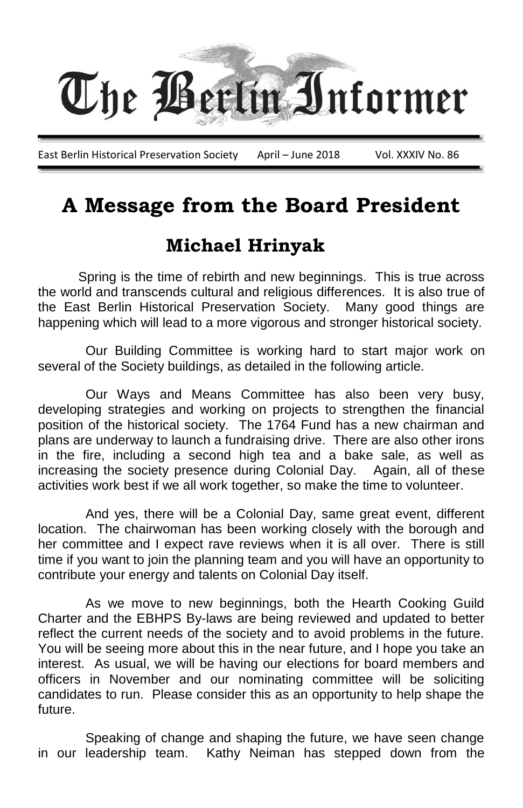

# **A Message from the Board President**

#### **Michael Hrinyak**

 Spring is the time of rebirth and new beginnings. This is true across the world and transcends cultural and religious differences. It is also true of the East Berlin Historical Preservation Society. Many good things are happening which will lead to a more vigorous and stronger historical society.

Our Building Committee is working hard to start major work on several of the Society buildings, as detailed in the following article.

Our Ways and Means Committee has also been very busy, developing strategies and working on projects to strengthen the financial position of the historical society. The 1764 Fund has a new chairman and plans are underway to launch a fundraising drive. There are also other irons in the fire, including a second high tea and a bake sale, as well as increasing the society presence during Colonial Day. Again, all of these activities work best if we all work together, so make the time to volunteer.

And yes, there will be a Colonial Day, same great event, different location. The chairwoman has been working closely with the borough and her committee and I expect rave reviews when it is all over. There is still time if you want to join the planning team and you will have an opportunity to contribute your energy and talents on Colonial Day itself.

As we move to new beginnings, both the Hearth Cooking Guild Charter and the EBHPS By-laws are being reviewed and updated to better reflect the current needs of the society and to avoid problems in the future. You will be seeing more about this in the near future, and I hope you take an interest. As usual, we will be having our elections for board members and officers in November and our nominating committee will be soliciting candidates to run. Please consider this as an opportunity to help shape the future.

Speaking of change and shaping the future, we have seen change in our leadership team. Kathy Neiman has stepped down from the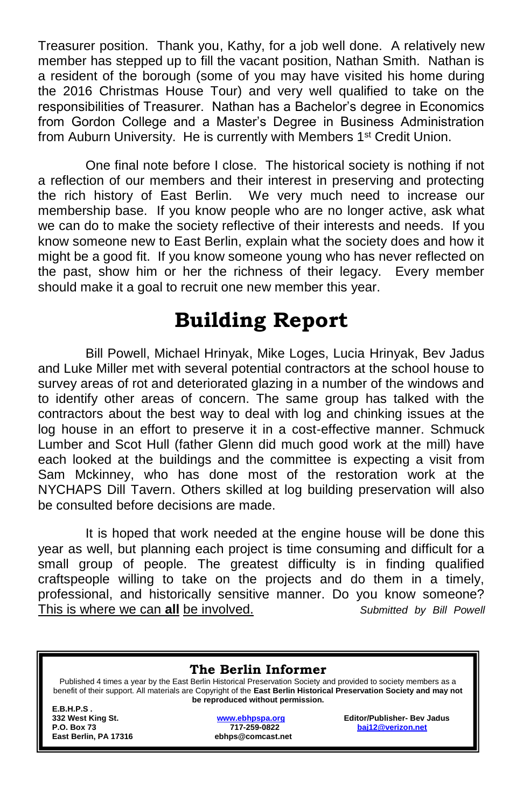Treasurer position. Thank you, Kathy, for a job well done. A relatively new member has stepped up to fill the vacant position, Nathan Smith. Nathan is a resident of the borough (some of you may have visited his home during the 2016 Christmas House Tour) and very well qualified to take on the responsibilities of Treasurer. Nathan has a Bachelor's degree in Economics from Gordon College and a Master's Degree in Business Administration from Auburn University. He is currently with Members 1<sup>st</sup> Credit Union.

One final note before I close. The historical society is nothing if not a reflection of our members and their interest in preserving and protecting the rich history of East Berlin. We very much need to increase our membership base. If you know people who are no longer active, ask what we can do to make the society reflective of their interests and needs. If you know someone new to East Berlin, explain what the society does and how it might be a good fit. If you know someone young who has never reflected on the past, show him or her the richness of their legacy. Every member should make it a goal to recruit one new member this year.

# **Building Report**

Bill Powell, Michael Hrinyak, Mike Loges, Lucia Hrinyak, Bev Jadus and Luke Miller met with several potential contractors at the school house to survey areas of rot and deteriorated glazing in a number of the windows and to identify other areas of concern. The same group has talked with the contractors about the best way to deal with log and chinking issues at the log house in an effort to preserve it in a cost-effective manner. Schmuck Lumber and Scot Hull (father Glenn did much good work at the mill) have each looked at the buildings and the committee is expecting a visit from Sam Mckinney, who has done most of the restoration work at the NYCHAPS Dill Tavern. Others skilled at log building preservation will also be consulted before decisions are made.

It is hoped that work needed at the engine house will be done this year as well, but planning each project is time consuming and difficult for a small group of people. The greatest difficulty is in finding qualified craftspeople willing to take on the projects and do them in a timely, professional, and historically sensitive manner. Do you know someone? This is where we can **all** be involved. *Submitted by Bill Powell*

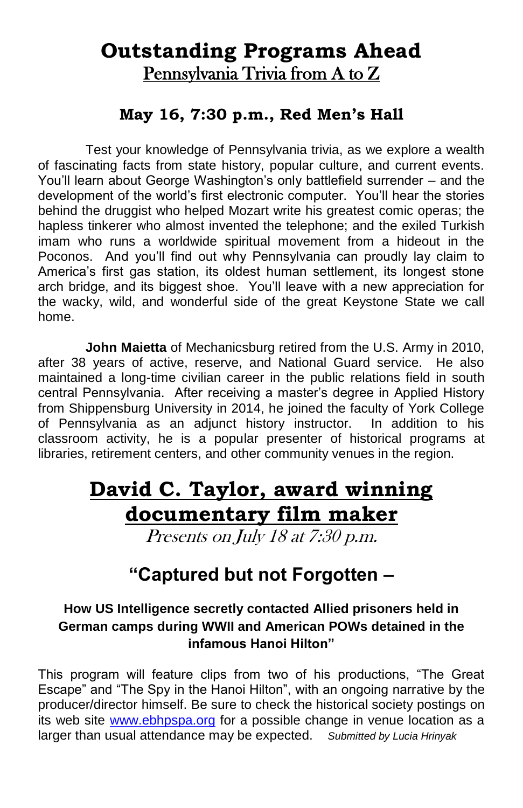### **Outstanding Programs Ahead** Pennsylvania Trivia from A to Z

#### **May 16, 7:30 p.m., Red Men's Hall**

Test your knowledge of Pennsylvania trivia, as we explore a wealth of fascinating facts from state history, popular culture, and current events. You'll learn about George Washington's only battlefield surrender – and the development of the world's first electronic computer. You'll hear the stories behind the druggist who helped Mozart write his greatest comic operas; the hapless tinkerer who almost invented the telephone; and the exiled Turkish imam who runs a worldwide spiritual movement from a hideout in the Poconos. And you'll find out why Pennsylvania can proudly lay claim to America's first gas station, its oldest human settlement, its longest stone arch bridge, and its biggest shoe. You'll leave with a new appreciation for the wacky, wild, and wonderful side of the great Keystone State we call home.

**John Maietta** of Mechanicsburg retired from the U.S. Army in 2010, after 38 years of active, reserve, and National Guard service. He also maintained a long-time civilian career in the public relations field in south central Pennsylvania. After receiving a master's degree in Applied History from Shippensburg University in 2014, he joined the faculty of York College of Pennsylvania as an adjunct history instructor. In addition to his classroom activity, he is a popular presenter of historical programs at libraries, retirement centers, and other community venues in the region.

# **David C. Taylor, award winning documentary film maker**

Presents on July 18 at 7:30 p.m.

### **"Captured but not Forgotten –**

#### **How US Intelligence secretly contacted Allied prisoners held in German camps during WWII and American POWs detained in the infamous Hanoi Hilton"**

This program will feature clips from two of his productions, "The Great Escape" and "The Spy in the Hanoi Hilton", with an ongoing narrative by the producer/director himself. Be sure to check the historical society postings on its web site [www.ebhpspa.org](http://www.ebhpspa.org/) for a possible change in venue location as a larger than usual attendance may be expected. *Submitted by Lucia Hrinyak*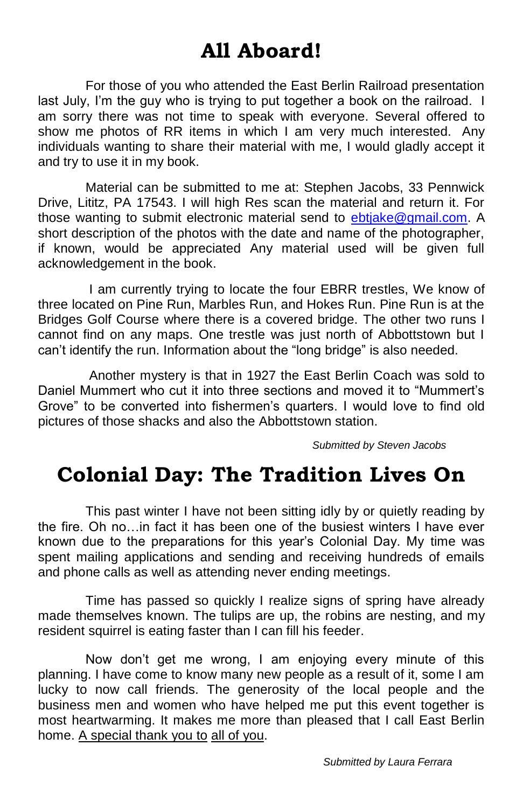# **All Aboard!**

For those of you who attended the East Berlin Railroad presentation last July, I'm the guy who is trying to put together a book on the railroad. I am sorry there was not time to speak with everyone. Several offered to show me photos of RR items in which I am very much interested. Any individuals wanting to share their material with me, I would gladly accept it and try to use it in my book.

Material can be submitted to me at: Stephen Jacobs, 33 Pennwick Drive, Lititz, PA 17543. I will high Res scan the material and return it. For those wanting to submit electronic material send to [ebtjake@gmail.com.](mailto:ebtjake@gmail.com) A short description of the photos with the date and name of the photographer, if known, would be appreciated Any material used will be given full acknowledgement in the book.

I am currently trying to locate the four EBRR trestles, We know of three located on Pine Run, Marbles Run, and Hokes Run. Pine Run is at the Bridges Golf Course where there is a covered bridge. The other two runs I cannot find on any maps. One trestle was just north of Abbottstown but I can't identify the run. Information about the "long bridge" is also needed.

Another mystery is that in 1927 the East Berlin Coach was sold to Daniel Mummert who cut it into three sections and moved it to "Mummert's Grove" to be converted into fishermen's quarters. I would love to find old pictures of those shacks and also the Abbottstown station.

*Submitted by Steven Jacobs*

# **Colonial Day: The Tradition Lives On**

This past winter I have not been sitting idly by or quietly reading by the fire. Oh no…in fact it has been one of the busiest winters I have ever known due to the preparations for this year's Colonial Day. My time was spent mailing applications and sending and receiving hundreds of emails and phone calls as well as attending never ending meetings.

Time has passed so quickly I realize signs of spring have already made themselves known. The tulips are up, the robins are nesting, and my resident squirrel is eating faster than I can fill his feeder.

Now don't get me wrong, I am enjoying every minute of this planning. I have come to know many new people as a result of it, some I am lucky to now call friends. The generosity of the local people and the business men and women who have helped me put this event together is most heartwarming. It makes me more than pleased that I call East Berlin home. A special thank you to all of you.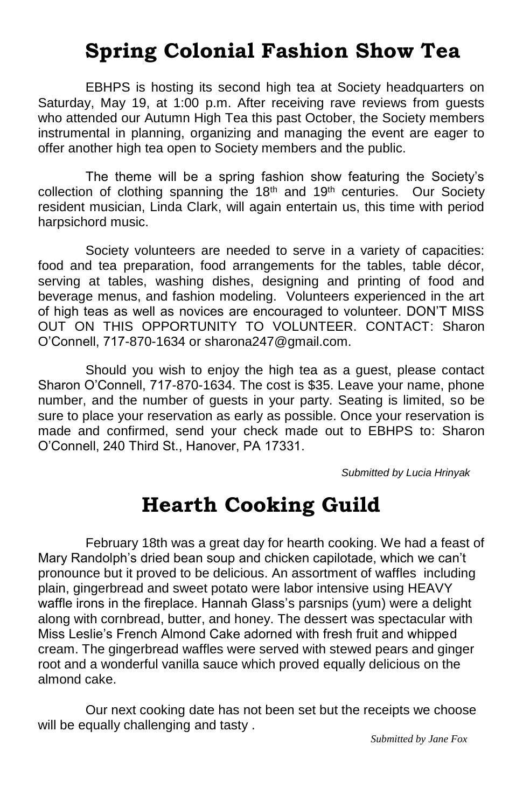# **Spring Colonial Fashion Show Tea**

EBHPS is hosting its second high tea at Society headquarters on Saturday, May 19, at 1:00 p.m. After receiving rave reviews from guests who attended our Autumn High Tea this past October, the Society members instrumental in planning, organizing and managing the event are eager to offer another high tea open to Society members and the public.

The theme will be a spring fashion show featuring the Society's collection of clothing spanning the 18<sup>th</sup> and 19<sup>th</sup> centuries. Our Society resident musician, Linda Clark, will again entertain us, this time with period harpsichord music.

Society volunteers are needed to serve in a variety of capacities: food and tea preparation, food arrangements for the tables, table décor, serving at tables, washing dishes, designing and printing of food and beverage menus, and fashion modeling. Volunteers experienced in the art of high teas as well as novices are encouraged to volunteer. DON'T MISS OUT ON THIS OPPORTUNITY TO VOLUNTEER. CONTACT: Sharon O'Connell, 717-870-1634 or sharona247@gmail.com.

Should you wish to enjoy the high tea as a guest, please contact Sharon O'Connell, 717-870-1634. The cost is \$35. Leave your name, phone number, and the number of guests in your party. Seating is limited, so be sure to place your reservation as early as possible. Once your reservation is made and confirmed, send your check made out to EBHPS to: Sharon O'Connell, 240 Third St., Hanover, PA 17331.

 *Submitted by Lucia Hrinyak*

### **Hearth Cooking Guild**

February 18th was a great day for hearth cooking. We had a feast of Mary Randolph's dried bean soup and chicken capilotade, which we can't pronounce but it proved to be delicious. An assortment of waffles including plain, gingerbread and sweet potato were labor intensive using HEAVY waffle irons in the fireplace. Hannah Glass's parsnips (yum) were a delight along with cornbread, butter, and honey. The dessert was spectacular with Miss Leslie's French Almond Cake adorned with fresh fruit and whipped cream. The gingerbread waffles were served with stewed pears and ginger root and a wonderful vanilla sauce which proved equally delicious on the almond cake.

Our next cooking date has not been set but the receipts we choose will be equally challenging and tasty .

*Submitted by Jane Fox*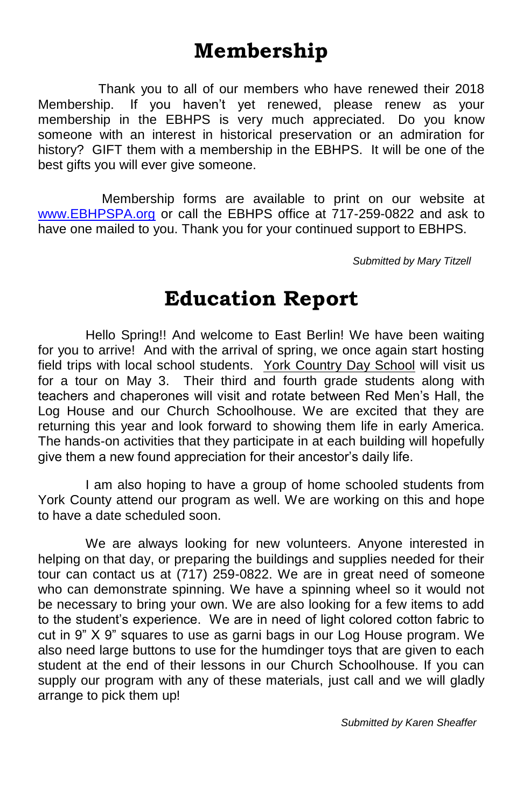# **Membership**

 Thank you to all of our members who have renewed their 2018 Membership. If you haven't yet renewed, please renew as your membership in the EBHPS is very much appreciated. Do you know someone with an interest in historical preservation or an admiration for history? GIFT them with a membership in the EBHPS. It will be one of the best gifts you will ever give someone.

 Membership forms are available to print on our website at [www.EBHPSPA.org](http://www.ebhpspa.org/) or call the EBHPS office at 717-259-0822 and ask to have one mailed to you. Thank you for your continued support to EBHPS.

 *Submitted by Mary Titzell*

### **Education Report**

Hello Spring!! And welcome to East Berlin! We have been waiting for you to arrive! And with the arrival of spring, we once again start hosting field trips with local school students. York Country Day School will visit us for a tour on May 3. Their third and fourth grade students along with teachers and chaperones will visit and rotate between Red Men's Hall, the Log House and our Church Schoolhouse. We are excited that they are returning this year and look forward to showing them life in early America. The hands-on activities that they participate in at each building will hopefully give them a new found appreciation for their ancestor's daily life.

I am also hoping to have a group of home schooled students from York County attend our program as well. We are working on this and hope to have a date scheduled soon.

We are always looking for new volunteers. Anyone interested in helping on that day, or preparing the buildings and supplies needed for their tour can contact us at (717) 259-0822. We are in great need of someone who can demonstrate spinning. We have a spinning wheel so it would not be necessary to bring your own. We are also looking for a few items to add to the student's experience. We are in need of light colored cotton fabric to cut in 9" X 9" squares to use as garni bags in our Log House program. We also need large buttons to use for the humdinger toys that are given to each student at the end of their lessons in our Church Schoolhouse. If you can supply our program with any of these materials, just call and we will gladly arrange to pick them up!

 *Submitted by Karen Sheaffer*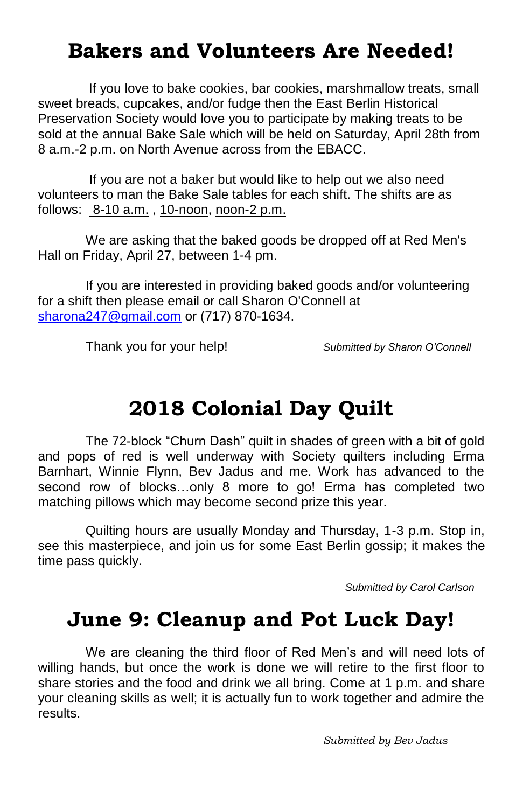# **Bakers and Volunteers Are Needed!**

 If you love to bake cookies, bar cookies, marshmallow treats, small sweet breads, cupcakes, and/or fudge then the East Berlin Historical Preservation Society would love you to participate by making treats to be sold at the annual Bake Sale which will be held on Saturday, April 28th from 8 a.m.-2 p.m. on North Avenue across from the EBACC.

 If you are not a baker but would like to help out we also need volunteers to man the Bake Sale tables for each shift. The shifts are as follows: 8-10 a.m. , 10-noon, noon-2 p.m.

We are asking that the baked goods be dropped off at Red Men's Hall on Friday, April 27, between 1-4 pm.

If you are interested in providing baked goods and/or volunteering for a shift then please email or call Sharon O'Connell at [sharona247@gmail.com](mailto:sharona247@gmail.com) or (717) 870-1634.

Thank you for your help! *Submitted by Sharon O'Connell*

# **2018 Colonial Day Quilt**

The 72-block "Churn Dash" quilt in shades of green with a bit of gold and pops of red is well underway with Society quilters including Erma Barnhart, Winnie Flynn, Bev Jadus and me. Work has advanced to the second row of blocks…only 8 more to go! Erma has completed two matching pillows which may become second prize this year.

Quilting hours are usually Monday and Thursday, 1-3 p.m. Stop in, see this masterpiece, and join us for some East Berlin gossip; it makes the time pass quickly.

*Submitted by Carol Carlson*

### **June 9: Cleanup and Pot Luck Day!**

We are cleaning the third floor of Red Men's and will need lots of willing hands, but once the work is done we will retire to the first floor to share stories and the food and drink we all bring. Come at 1 p.m. and share your cleaning skills as well; it is actually fun to work together and admire the results.